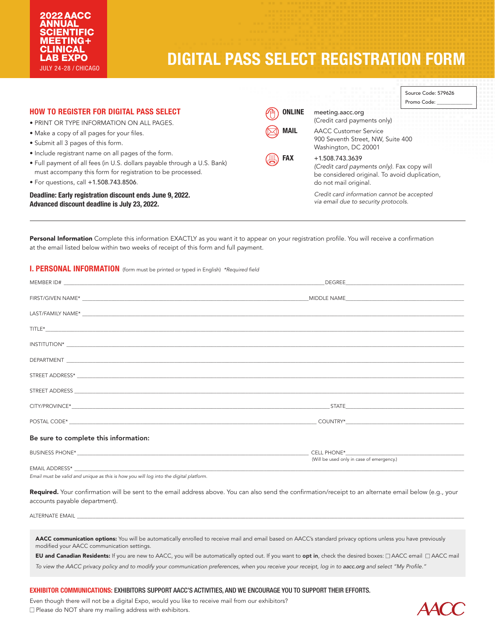# **DIGITAL PASS SELECT REGISTRATION FORM**

| <b>HOW TO REGISTER FOR DIGITAL PASS SELECT</b><br>• PRINT OR TYPE INFORMATION ON ALL PAGES.                                                                                                                                             | <b>ONLINE</b><br>meeting.aacc.org<br>Ή | (Credit card payments only)                                                                                                             | Source Code: 579626<br>Promo Code: |  |
|-----------------------------------------------------------------------------------------------------------------------------------------------------------------------------------------------------------------------------------------|----------------------------------------|-----------------------------------------------------------------------------------------------------------------------------------------|------------------------------------|--|
| • Make a copy of all pages for your files.<br>• Submit all 3 pages of this form.                                                                                                                                                        | <b>MAIL</b>                            | <b>AACC Customer Service</b><br>900 Seventh Street, NW, Suite 400<br>Washington, DC 20001                                               |                                    |  |
| • Include registrant name on all pages of the form.<br>. Full payment of all fees (in U.S. dollars payable through a U.S. Bank)<br>must accompany this form for registration to be processed.<br>• For questions, call +1.508.743.8506. | <b>FAX</b><br>凰                        | +1.508.743.3639<br>(Credit card payments only). Fax copy will<br>be considered original. To avoid duplication,<br>do not mail original. |                                    |  |
| Deadline: Early registration discount ends June 9, 2022.<br>Advanced discount deadline is July 23, 2022.                                                                                                                                |                                        | Credit card information cannot be accepted<br>via email due to security protocols.                                                      |                                    |  |

Personal Information Complete this information EXACTLY as you want it to appear on your registration profile. You will receive a confirmation at the email listed below within two weeks of receipt of this form and full payment.

# I. PERSONAL INFORMATION (form must be printed or typed in English) *\*Required field*

| Be sure to complete this information: |                                           |  |  |
|---------------------------------------|-------------------------------------------|--|--|
|                                       | (Will be used only in case of emergency.) |  |  |

*Email must be valid and unique as this is how you will log into the digital platform.*

Required. Your confirmation will be sent to the email address above. You can also send the confirmation/receipt to an alternate email below (e.g., your accounts payable department).

EMAIL ADDRESS\* \_\_\_\_\_\_\_\_\_\_\_\_\_\_\_\_\_\_\_\_\_\_\_\_\_\_\_\_\_\_\_\_\_\_\_\_\_\_\_\_\_\_\_\_\_\_\_\_\_\_\_\_\_\_\_\_\_\_\_\_\_\_\_\_\_\_\_\_\_\_\_\_\_\_\_\_\_\_\_\_\_\_\_\_\_\_\_\_\_\_\_\_\_\_\_\_\_\_\_\_\_\_\_\_\_\_\_\_\_\_\_\_\_\_\_\_\_\_\_\_\_\_\_\_\_\_\_\_\_\_\_\_\_\_\_\_\_\_\_\_\_\_\_\_\_\_\_\_

ALTERNATE EMAIL

AACC communication options: You will be automatically enrolled to receive mail and email based on AACC's standard privacy options unless you have previously modified your AACC communication settings.

EU and Canadian Residents: If you are new to AACC, you will be automatically opted out. If you want to opt in, check the desired boxes:  $\Box$  AACC email  $\Box$  AACC mail *To view the AACC privacy policy and to modify your communication preferences, when you receive your receipt, log in to aacc.org and select "My Profile."*

# EXHIBITOR COMMUNICATIONS: EXHIBITORS SUPPORT AACC'S ACTIVITIES, AND WE ENCOURAGE YOU TO SUPPORT THEIR EFFORTS.

Even though there will not be a digital Expo, would you like to receive mail from our exhibitors?  $\square$  Please do NOT share my mailing address with exhibitors.

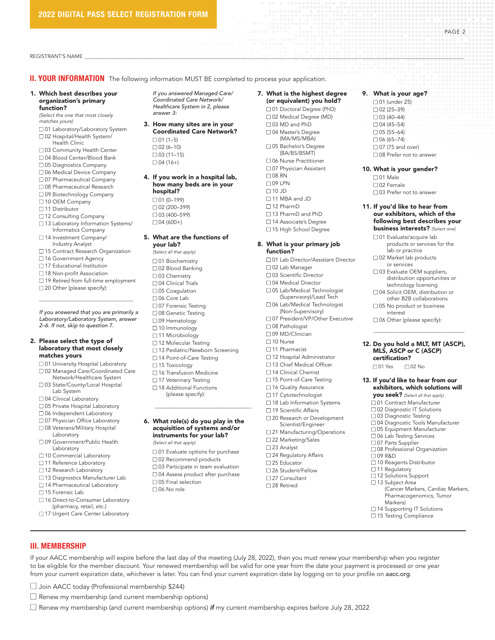REGISTRANT'S NAME \_\_\_\_\_\_\_\_\_\_\_\_\_\_\_\_\_\_\_\_\_\_\_\_\_\_\_\_\_\_\_\_\_\_\_\_\_\_\_\_\_\_\_\_\_\_\_\_\_\_\_\_\_\_\_\_\_\_\_\_\_\_\_\_\_\_\_\_\_\_\_\_\_\_\_\_\_\_\_\_\_\_\_\_\_\_\_\_\_\_\_\_\_\_\_\_\_\_\_\_\_\_\_\_\_\_\_\_\_\_\_\_\_\_\_\_\_\_\_\_\_\_\_\_\_\_\_\_\_\_\_\_\_\_\_\_\_\_\_\_\_\_\_\_

**II. YOUR INFORMATION** The following information MUST BE completed to process your application.

#### 1. Which best describes your organization's primary function?

*(Select the one that most closely matches yours)*

- □ 01 Laboratory/Laboratory System □ 02 Hospital/Health System/
- Health Clinic
- □ 03 Community Health Center
- □ 04 Blood Center/Blood Bank
- □ 05 Diagnostics Company
- □ 06 Medical Device Company
- □ 07 Pharmaceutical Company
- □ 08 Pharmaceutical Research
- □ 09 Biotechnology Company
- □ 10 OEM Company
- □ 11 Distributor
- □ 12 Consulting Company
- $\square$  13 Laboratory Information Systems/ Informatics Company
- □ 14 Investment Company/ Industry Analyst
- □ 15 Contract Research Organization
- □ 16 Government Agency
- $\Box$  17 Educational Institution
- □ 18 Non-profit Association
- □ 19 Retired from full-time employment

\_\_\_\_\_\_\_\_\_\_\_\_\_\_\_\_\_\_\_\_\_\_\_\_\_\_\_\_\_\_\_\_\_\_

□ 20 Other (please specify):

*If you answered that you are primarily a Laboratory/Laboratory System, answer 2–6. If not, skip to question 7.*

#### 2. Please select the type of laboratory that most closely matches yours

- □ 01 University Hospital Laboratory
- □ 02 Managed Care/Coordinated Care Network/Healthcare System
- □ 03 State/County/Local Hospital Lab System
- □ 04 Clinical Laboratory
- □ 05 Private Hospital Laboratory
- □ 06 Independent Laboratory
- □ 07 Physician Office Laboratory
- □ 08 Veterans/Military Hospital Laboratory
- □ 09 Government/Public Health Laboratory
- □ 10 Commercial Laboratory
- □ 11 Reference Laboratory
- □ 12 Research Laboratory
- □ 13 Diagnostics Manufacturer Lab
- □ 14 Pharmaceutical Laboratory
- $\square$  15 Forensic Lab

III. MEMBERSHIP

- □ 16 Direct-to-Consumer Laboratory (pharmacy, retail, etc.)
- □ 17 Urgent Care Center Laboratory

□ Join AACC today (Professional membership \$244)  $\Box$  Renew my membership (and current membership options)

*If you answered Managed Care/ Coordinated Care Network/ Healthcare System in 2, please answer 3:*

- 3. How many sites are in your Coordinated Care Network?  $\Box$  01 (1–5)
	- $\Box$  02 (6-10)  $\Box$  03 (11–15)  $\Box$  04 (16+)
- 4. If you work in a hospital lab, how many beds are in your hospital?  $\Box$  01 (0–199)  $\Box$  02 (200-399)
	- $\Box$  03 (400–599)  $\Box$  04 (600+)

#### 5. What are the functions of your lab?

- *(Select all that apply)*  $\Box$  01 Biochemistry □ 02 Blood Banking  $\square$  03 Chemistry □ 04 Clinical Trials  $\square$  05 Coagulation □ 06 Core Lab □ 07 Forensic Testing
- □ 08 Genetic Testing
- □ 09 Hematology
- $\square$  10 Immunology
- □ 11 Microbiology
- □ 12 Molecular Testing
- □ 13 Pediatric/Newborn Screening
- □ 14 Point-of-Care Testing
- □ 15 Toxicology
- $\square$  16 Transfusion Medicine
- $\Box$  17 Veterinary Testing
- $\square$  18 Additional Functions
	- (please specify):
- 6. What role(s) do you play in the acquisition of systems and/or instruments for your lab?

 $\overline{a_1}$  ,  $\overline{a_2}$  ,  $\overline{a_3}$  ,  $\overline{a_4}$  ,  $\overline{a_5}$  ,  $\overline{a_6}$  ,  $\overline{a_7}$  ,  $\overline{a_8}$  ,  $\overline{a_9}$  ,  $\overline{a_9}$  ,  $\overline{a_9}$  ,  $\overline{a_9}$  ,  $\overline{a_9}$  ,  $\overline{a_9}$  ,  $\overline{a_9}$  ,  $\overline{a_9}$  ,  $\overline{a_9}$  ,

- *(Select all that apply)*
- $\square$  01 Evaluate options for purchase
- $\Box$  02 Recommend products
- $\square$  03 Participate in team evaluation

If your AACC membership will expire before the last day of the meeting (July 28, 2022), then you must renew your membership when you register to be eligible for the member discount. Your renewed membership will be valid for one year from the date your payment is processed or one year

from your current expiration date, whichever is later. You can find your current expiration date by logging on to your profile on aacc.org.

n Renew my membership (and current membership options) *if* my current membership expires before July 28, 2022

- $\square$  04 Assess product after purchase  $\square$  05 Final selection
- $\Box$  06 No role

#### 7. What is the highest degree (or equivalent) you hold?

PAGE 2

9. What is your age? □ 01 (under 25)  $\Box$  02 (25–39)  $\Box$  03 (40–44)  $\Box$  04 (45–54)  $\Box$  05 (55–64)  $\Box$  06 (65–74)  $\Box$  07 (75 and over) □ 08 Prefer not to answer 10. What is your gender?

> $\Box$  01 Male n 02 Female

 $\square$  03 Prefer not to answer 11. If you'd like to hear from our exhibitors, which of the following best describes your business interests? *(Select one)* □ 01 Evaluate/acquire lab

> lab or practice □ 02 Market lab products or services  $\square$  03 Evaluate OEM suppliers, distribution opportunities or technology licensing □ 04 Solicit OEM, distribution or other B2B collaborations  $\Box$  05 No product or business interest  $\square$  06 Other (please specify):

products or services for the

\_\_\_\_\_\_\_\_\_\_\_\_\_\_\_\_\_\_\_\_\_\_\_\_\_\_\_\_\_\_\_\_\_ 12. Do you hold a MLT, MT (ASCP), MLS, ASCP or C (ASCP)

13. If you'd like to hear from our exhibitors, which solutions will you seek? *(Select all that apply)* □ 01 Contract Manufacturer □ 02 Diagnostic IT Solutions  $\square$  03 Diagnostic Testing n 04 Diagnostic Tools Manufacturer □ 05 Equipment Manufacturer □ 06 Lab Testing Services □ 07 Parts Supplier n 08 Professional Organization

certification? □ 01 Yes □ 02 No

n 09 R&D

□ 10 Reagents Distributor  $\Box$  11 Regulatory □ 12 Solutions Support  $\Box$  13 Subject Area

Markers)  $\Box$  14 Supporting IT Solutions □ 15 Testing Compliance

(Cancer Markers, Cardiac Markers, Pharmacogenomics, Tumor

- □ 01 Doctoral Degree (PhD) □ 02 Medical Degree (MD)  $\Box$  03 MD and PhD □ 04 Master's Degree (MA/MS/MBA) □ 05 Bachelor's Degree
- (BA/BS/BSMT) □ 06 Nurse Practitioner
- □ 07 Physician Assistant
- $\Box$  08 RN
- $\Box$  09 LPN
- $\Box$  10 JD
- $\Box$  11 MBA and JD
- $\square$  12 PharmD
- □ 13 PharmD and PhD
- □ 14 Associate's Degree
- □ 15 High School Degree

#### 8. What is your primary job function?

- □ 01 Lab Director/Assistant Director □ 02 Lab Manager
- □ 03 Scientific Director
- n 04 Medical Director
- □ 05 Lab/Medical Technologist (Supervisory)/Lead Tech
- □ 06 Lab/Medical Technologist
- (Non-Supervisory)
- □ 07 President/VP/Other Executive
- □ 08 Pathologist
- □ 09 MD/Clinician
- $\square$  10 Nurse
- □ 11 Pharmacist
- □ 12 Hospital Administrator
- □ 13 Chief Medical Officer n 14 Clinical Chemist
- 
- □ 15 Point-of-Care Testing
- □ 16 Quality Assurance
- □ 17 Cytotechnologist  $\square$  18 Lab Information Systems  $\Box$  19 Scientific Affairs

□ 20 Research or Development Scientist/Engineer □ 21 Manufacturing/Operations □ 22 Marketing/Sales □ 23 Analyst  $\square$  24 Regulatory Affairs □ 25 Educator n 26 Student/Fellow  $\square$  27 Consultant □ 28 Retired